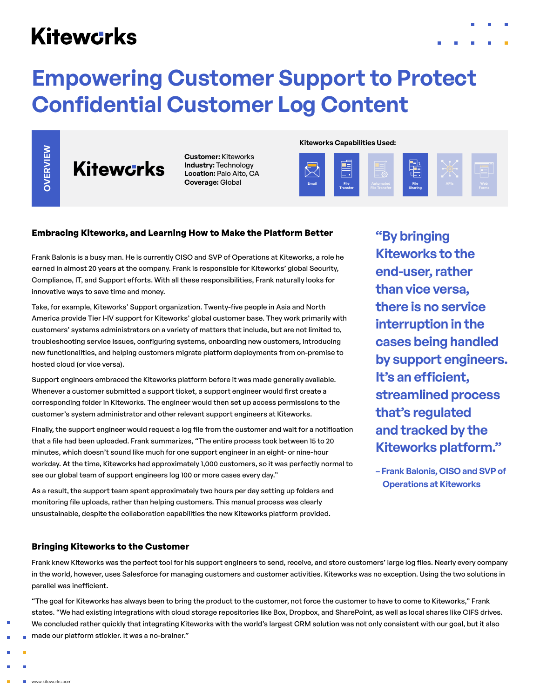# **Kitewcrks**

# **Empowering Customer Support to Protect Confidential Customer Log Content**

**Customer:** Kiteworks **Industry:** Technology **Location:** Palo Alto, CA **Coverage:** Global

**Kiteworks Capabilities Used:**



### **Embracing Kiteworks, and Learning How to Make the Platform Better**

Frank Balonis is a busy man. He is currently CISO and SVP of Operations at Kiteworks, a role he earned in almost 20 years at the company. Frank is responsible for Kiteworks' global Security, Compliance, IT, and Support efforts. With all these responsibilities, Frank naturally looks for innovative ways to save time and money.

Take, for example, Kiteworks' Support organization. Twenty-five people in Asia and North America provide Tier I-IV support for Kiteworks' global customer base. They work primarily with customers' systems administrators on a variety of matters that include, but are not limited to, troubleshooting service issues, configuring systems, onboarding new customers, introducing new functionalities, and helping customers migrate platform deployments from on-premise to hosted cloud (or vice versa). **Example 12 and 12 and 12 and 12 and 12 and 12 and 12 and 12 and 12 and 12 and 12 and 12 and 12 and 12 and 12 and 12 and 12 and 12 and 12 and 12 and 12 and 12 and 12 and 12 and 12 and 12 and 12 and 12 and 12 and 12 and 12** 

Support engineers embraced the Kiteworks platform before it was made generally available. Whenever a customer submitted a support ticket, a support engineer would first create a corresponding folder in Kiteworks. The engineer would then set up access permissions to the customer's system administrator and other relevant support engineers at Kiteworks.

Finally, the support engineer would request a log file from the customer and wait for a notification that a file had been uploaded. Frank summarizes, "The entire process took between 15 to 20 minutes, which doesn't sound like much for one support engineer in an eight- or nine-hour workday. At the time, Kiteworks had approximately 1,000 customers, so it was perfectly normal to see our global team of support engineers log 100 or more cases every day."

As a result, the support team spent approximately two hours per day setting up folders and monitoring file uploads, rather than helping customers. This manual process was clearly unsustainable, despite the collaboration capabilities the new Kiteworks platform provided.

**"By bringing Kiteworks to the end-user, rather than vice versa, there is no service interruption in the cases being handled by support engineers. It's an efficient, streamlined process that's regulated and tracked by the Kiteworks platform."**

**– Frank Balonis, CISO and SVP of Operations at Kiteworks**

## **Bringing Kiteworks to the Customer**

Frank knew Kiteworks was the perfect tool for his support engineers to send, receive, and store customers' large log files. Nearly every company in the world, however, uses Salesforce for managing customers and customer activities. Kiteworks was no exception. Using the two solutions in parallel was inefficient.

"The goal for Kiteworks has always been to bring the product to the customer, not force the customer to have to come to Kiteworks," Frank states. "We had existing integrations with cloud storage repositories like Box, Dropbox, and SharePoint, as well as local shares like CIFS drives. We concluded rather quickly that integrating Kiteworks with the world's largest CRM solution was not only consistent with our goal, but it also

- 
- 
- **www.kiteworks.com**